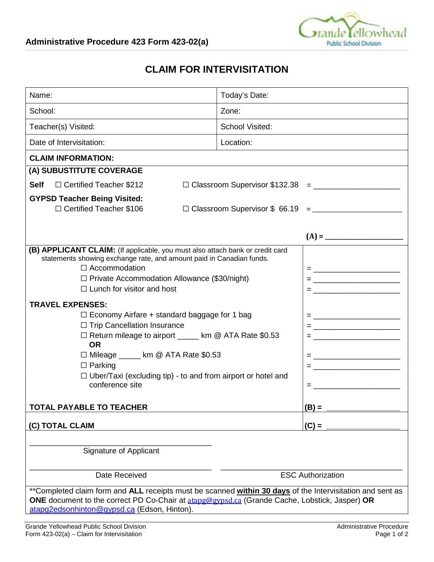

## **CLAIM FOR INTERVISITATION**

| Name:                                                                                                                                                 | Today's Date:                     |
|-------------------------------------------------------------------------------------------------------------------------------------------------------|-----------------------------------|
| School:                                                                                                                                               | Zone:                             |
| Teacher(s) Visited:                                                                                                                                   | School Visited:                   |
| Date of Intervisitation:                                                                                                                              | Location:                         |
| <b>CLAIM INFORMATION:</b>                                                                                                                             |                                   |
| (A) SUBUSTITUTE COVERAGE                                                                                                                              |                                   |
| □ Certified Teacher \$212<br><b>Self</b>                                                                                                              |                                   |
| <b>GYPSD Teacher Being Visited:</b>                                                                                                                   |                                   |
| □ Certified Teacher \$106                                                                                                                             |                                   |
|                                                                                                                                                       |                                   |
|                                                                                                                                                       |                                   |
| (B) APPLICANT CLAIM: (If applicable, you must also attach bank or credit card<br>statements showing exchange rate, and amount paid in Canadian funds. |                                   |
| $\Box$ Accommodation<br>= <u>__________________________</u>                                                                                           |                                   |
| $\Box$ Private Accommodation Allowance (\$30/night)                                                                                                   |                                   |
| $\Box$ Lunch for visitor and host                                                                                                                     | = <u>________________________</u> |
| <b>TRAVEL EXPENSES:</b>                                                                                                                               |                                   |
| $\Box$ Economy Airfare + standard baggage for 1 bag                                                                                                   |                                   |
| □ Trip Cancellation Insurance                                                                                                                         |                                   |
| □ Return mileage to airport _____ km @ ATA Rate \$0.53                                                                                                |                                   |
| <b>OR</b>                                                                                                                                             |                                   |
| □ Mileage _____ km @ ATA Rate \$0.53                                                                                                                  |                                   |
| $\Box$ Parking                                                                                                                                        | = <u>______________________</u>   |
| $\Box$ Uber/Taxi (excluding tip) - to and from airport or hotel and<br>conference site                                                                |                                   |
|                                                                                                                                                       | $=$ <u>______________________</u> |
| <b>TOTAL PAYABLE TO TEACHER</b>                                                                                                                       | $(B) =$                           |
|                                                                                                                                                       |                                   |
| (C) TOTAL CLAIM                                                                                                                                       | $(C) =$                           |
|                                                                                                                                                       |                                   |
| Signature of Applicant                                                                                                                                |                                   |
| Date Received                                                                                                                                         | <b>ESC Authorization</b>          |
| **Completed claim form and ALL receipts must be scanned within 30 days of the Intervisitation and sent as                                             |                                   |
| ONE document to the correct PD Co-Chair at atapg@gypsd.ca (Grande Cache, Lobstick, Jasper) OR                                                         |                                   |
| atapq2edsonhinton@gypsd.ca (Edson, Hinton).                                                                                                           |                                   |